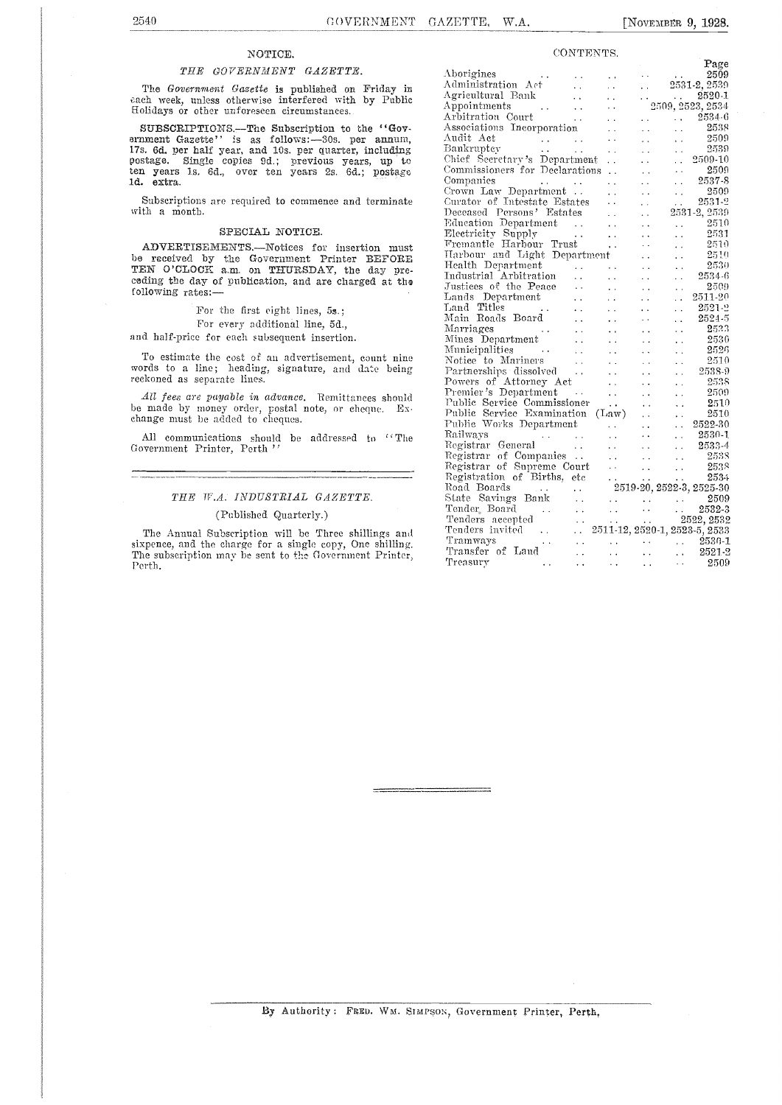#### NOTICE.

#### THE GOVERNMENT GAZETTE.

The Government Gazette is published on Friday in  $\Lambda_{\text{crit}}$ each week, unless otherwise interfered with by Public  $\begin{array}{c}\n\text{Ayp} \\
\text{App} \\
\text{Avp}\n\end{array}$ 

SUBSCRIPTIONS.—The Subscription to the "Gov-<br>ernment Gazette" is as follows:-30s. per annum, Audit<br>17s. 6d. per half year, and 10s. per quarter, including Bank postage. Single copies 9d.; previous years, up to Chief<br>ten years is, 6d., over ten years 2s. 6d.; postage Commi Id. extra.

Subscriptions are required to commence and terminate with a month.

#### SPECIAL NOTICE.

ADVERTISEMENTS.-Notices for insertion must be received by the Government Printer BEFORE<br>TEN O'CLOCK a.m. on THURSDAY, the day preceding the day of publication, and are charged at the following rates:

For the first eight lines, 5s.;

For every additional line, 5d.,

and half-price for each subsequent insertion.

To estimate the cost of an advertisement, count nine words to a line; heading, signature, and date being reckoned as separate lines.

All fees are payable in advance. Remittances should be made by money order, postal note, or cheque. Exchange must be added to cheques.

All communications should be addressed to "The Government Printer, Perth "

#### THE W.A. INDUSTRIAL GAZETTE.

#### (Published Quarterly.)

The Annual Subscription will be Three shillings and sixpence, and the charge for a single copy, One shilling. The subscription may be sent to the Government Printer, Perth.

| CONTENTS.                                                                                                                                                                                                                                                                                                                                                                                                                                                                                                                |                      |                                                       |                                                      |
|--------------------------------------------------------------------------------------------------------------------------------------------------------------------------------------------------------------------------------------------------------------------------------------------------------------------------------------------------------------------------------------------------------------------------------------------------------------------------------------------------------------------------|----------------------|-------------------------------------------------------|------------------------------------------------------|
|                                                                                                                                                                                                                                                                                                                                                                                                                                                                                                                          |                      |                                                       |                                                      |
|                                                                                                                                                                                                                                                                                                                                                                                                                                                                                                                          |                      |                                                       |                                                      |
|                                                                                                                                                                                                                                                                                                                                                                                                                                                                                                                          |                      |                                                       |                                                      |
|                                                                                                                                                                                                                                                                                                                                                                                                                                                                                                                          |                      |                                                       |                                                      |
|                                                                                                                                                                                                                                                                                                                                                                                                                                                                                                                          |                      |                                                       |                                                      |
|                                                                                                                                                                                                                                                                                                                                                                                                                                                                                                                          |                      |                                                       |                                                      |
|                                                                                                                                                                                                                                                                                                                                                                                                                                                                                                                          |                      |                                                       |                                                      |
|                                                                                                                                                                                                                                                                                                                                                                                                                                                                                                                          |                      |                                                       |                                                      |
|                                                                                                                                                                                                                                                                                                                                                                                                                                                                                                                          |                      |                                                       | 2539                                                 |
| Bankruptcy<br>Chief Secretary's Department                                                                                                                                                                                                                                                                                                                                                                                                                                                                               |                      | $\ddot{\phantom{a}}$                                  | 2509-10                                              |
| Commissioners for Declarations                                                                                                                                                                                                                                                                                                                                                                                                                                                                                           |                      | $\mathcal{L}(\mathcal{L})$                            | 2509                                                 |
|                                                                                                                                                                                                                                                                                                                                                                                                                                                                                                                          |                      | $\sim 100$                                            | <b>Contract</b>                                      |
|                                                                                                                                                                                                                                                                                                                                                                                                                                                                                                                          |                      | $\mathbf{a}(\mathbf{a})$ and $\mathbf{a}(\mathbf{a})$ |                                                      |
| Companies<br>Crown Law Department<br>Curator of Intestate Estates<br>Deceased Persons' Estates                                                                                                                                                                                                                                                                                                                                                                                                                           |                      |                                                       | $2509$<br>$2537-8$<br>$2509$<br>$2531-2$<br>$2531-9$ |
|                                                                                                                                                                                                                                                                                                                                                                                                                                                                                                                          |                      |                                                       |                                                      |
|                                                                                                                                                                                                                                                                                                                                                                                                                                                                                                                          |                      |                                                       |                                                      |
|                                                                                                                                                                                                                                                                                                                                                                                                                                                                                                                          |                      |                                                       |                                                      |
|                                                                                                                                                                                                                                                                                                                                                                                                                                                                                                                          |                      |                                                       |                                                      |
|                                                                                                                                                                                                                                                                                                                                                                                                                                                                                                                          |                      |                                                       |                                                      |
|                                                                                                                                                                                                                                                                                                                                                                                                                                                                                                                          |                      |                                                       |                                                      |
|                                                                                                                                                                                                                                                                                                                                                                                                                                                                                                                          |                      |                                                       |                                                      |
|                                                                                                                                                                                                                                                                                                                                                                                                                                                                                                                          |                      |                                                       |                                                      |
|                                                                                                                                                                                                                                                                                                                                                                                                                                                                                                                          |                      |                                                       |                                                      |
|                                                                                                                                                                                                                                                                                                                                                                                                                                                                                                                          |                      |                                                       |                                                      |
|                                                                                                                                                                                                                                                                                                                                                                                                                                                                                                                          |                      |                                                       |                                                      |
|                                                                                                                                                                                                                                                                                                                                                                                                                                                                                                                          |                      |                                                       |                                                      |
|                                                                                                                                                                                                                                                                                                                                                                                                                                                                                                                          |                      |                                                       |                                                      |
|                                                                                                                                                                                                                                                                                                                                                                                                                                                                                                                          |                      |                                                       |                                                      |
|                                                                                                                                                                                                                                                                                                                                                                                                                                                                                                                          |                      |                                                       |                                                      |
|                                                                                                                                                                                                                                                                                                                                                                                                                                                                                                                          |                      |                                                       |                                                      |
|                                                                                                                                                                                                                                                                                                                                                                                                                                                                                                                          |                      |                                                       |                                                      |
|                                                                                                                                                                                                                                                                                                                                                                                                                                                                                                                          |                      |                                                       |                                                      |
|                                                                                                                                                                                                                                                                                                                                                                                                                                                                                                                          |                      |                                                       |                                                      |
|                                                                                                                                                                                                                                                                                                                                                                                                                                                                                                                          |                      |                                                       |                                                      |
|                                                                                                                                                                                                                                                                                                                                                                                                                                                                                                                          |                      |                                                       |                                                      |
|                                                                                                                                                                                                                                                                                                                                                                                                                                                                                                                          |                      |                                                       |                                                      |
|                                                                                                                                                                                                                                                                                                                                                                                                                                                                                                                          |                      |                                                       |                                                      |
|                                                                                                                                                                                                                                                                                                                                                                                                                                                                                                                          |                      |                                                       |                                                      |
|                                                                                                                                                                                                                                                                                                                                                                                                                                                                                                                          |                      |                                                       |                                                      |
|                                                                                                                                                                                                                                                                                                                                                                                                                                                                                                                          |                      |                                                       |                                                      |
|                                                                                                                                                                                                                                                                                                                                                                                                                                                                                                                          |                      |                                                       |                                                      |
|                                                                                                                                                                                                                                                                                                                                                                                                                                                                                                                          |                      |                                                       |                                                      |
|                                                                                                                                                                                                                                                                                                                                                                                                                                                                                                                          |                      |                                                       |                                                      |
|                                                                                                                                                                                                                                                                                                                                                                                                                                                                                                                          |                      |                                                       |                                                      |
|                                                                                                                                                                                                                                                                                                                                                                                                                                                                                                                          |                      |                                                       |                                                      |
|                                                                                                                                                                                                                                                                                                                                                                                                                                                                                                                          |                      |                                                       |                                                      |
|                                                                                                                                                                                                                                                                                                                                                                                                                                                                                                                          |                      |                                                       |                                                      |
|                                                                                                                                                                                                                                                                                                                                                                                                                                                                                                                          |                      |                                                       |                                                      |
| $\mathcal{L}_{\text{max}}$ , where $\mathcal{L}_{\text{max}}$ and $\mathcal{L}_{\text{max}}$<br>Treasury                                                                                                                                                                                                                                                                                                                                                                                                                 | and the state of the |                                                       | 2509                                                 |
| $\begin{tabular}{l c c c} \hline $k$-remainder Hafobur. Trust & $2510$ \\ \hline Industral Arbhtur. & $2511$ \\ \hline Industral Arbittation & $2534$ \\ \hline Justices of the Peace & $2534$ \\ \hline Justices of the Peace & $2534$ \\ \hline Justices of the Peace & $2534$ \\ \hline Justices of the Peace & $2534$ \\ \hline Man Ronds Board & $1.20$ \\ \hline Man Ronds Board & $1.20$ \\ \hline Maring Department & $2533$ \\ \hline Minicipalities & $2524$ \\ \hline Minec algeptamentMinicipalities & $253$ |                      |                                                       |                                                      |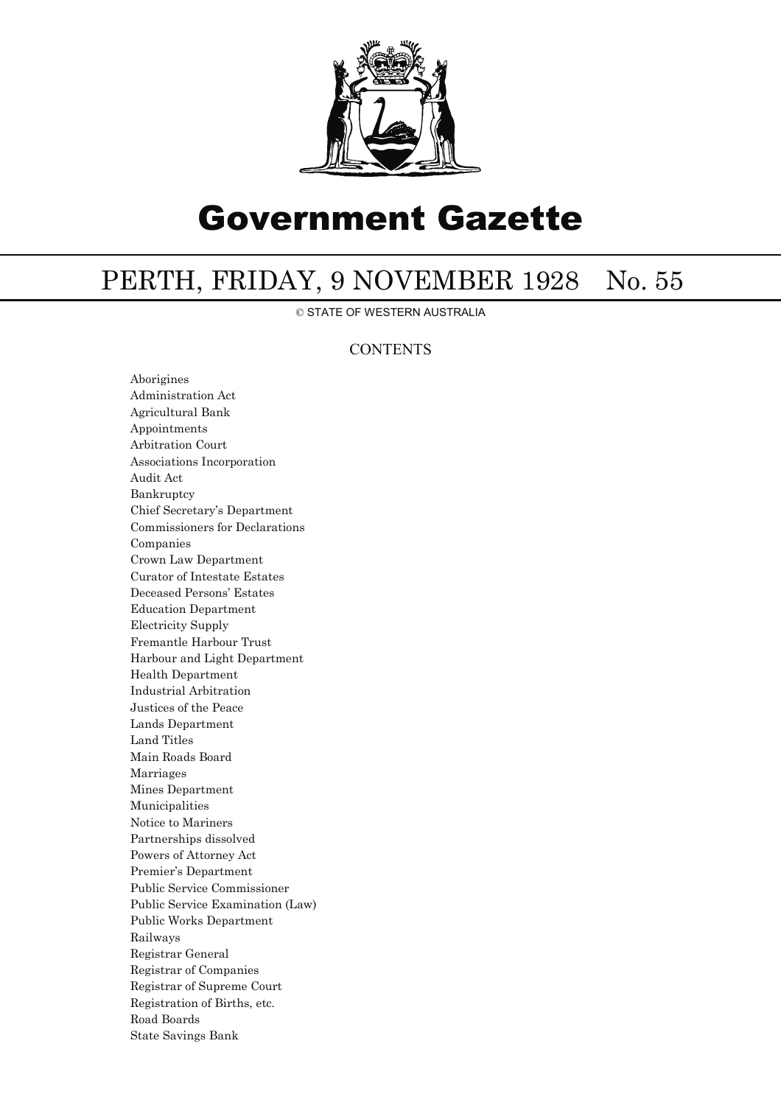

# Government Gazette

## PERTH, FRIDAY, 9 NOVEMBER 1928 No. 55

© STATE OF WESTERN AUSTRALIA

### **CONTENTS**

Aborigines Administration Act Agricultural Bank Appointments Arbitration Court Associations Incorporation Audit Act Bankruptcy Chief Secretary's Department Commissioners for Declarations Companies Crown Law Department Curator of Intestate Estates Deceased Persons' Estates Education Department Electricity Supply Fremantle Harbour Trust Harbour and Light Department Health Department Industrial Arbitration Justices of the Peace Lands Department Land Titles Main Roads Board Marriages Mines Department Municipalities Notice to Mariners Partnerships dissolved Powers of Attorney Act Premier's Department Public Service Commissioner Public Service Examination (Law) Public Works Department Railways Registrar General Registrar of Companies Registrar of Supreme Court Registration of Births, etc. Road Boards State Savings Bank